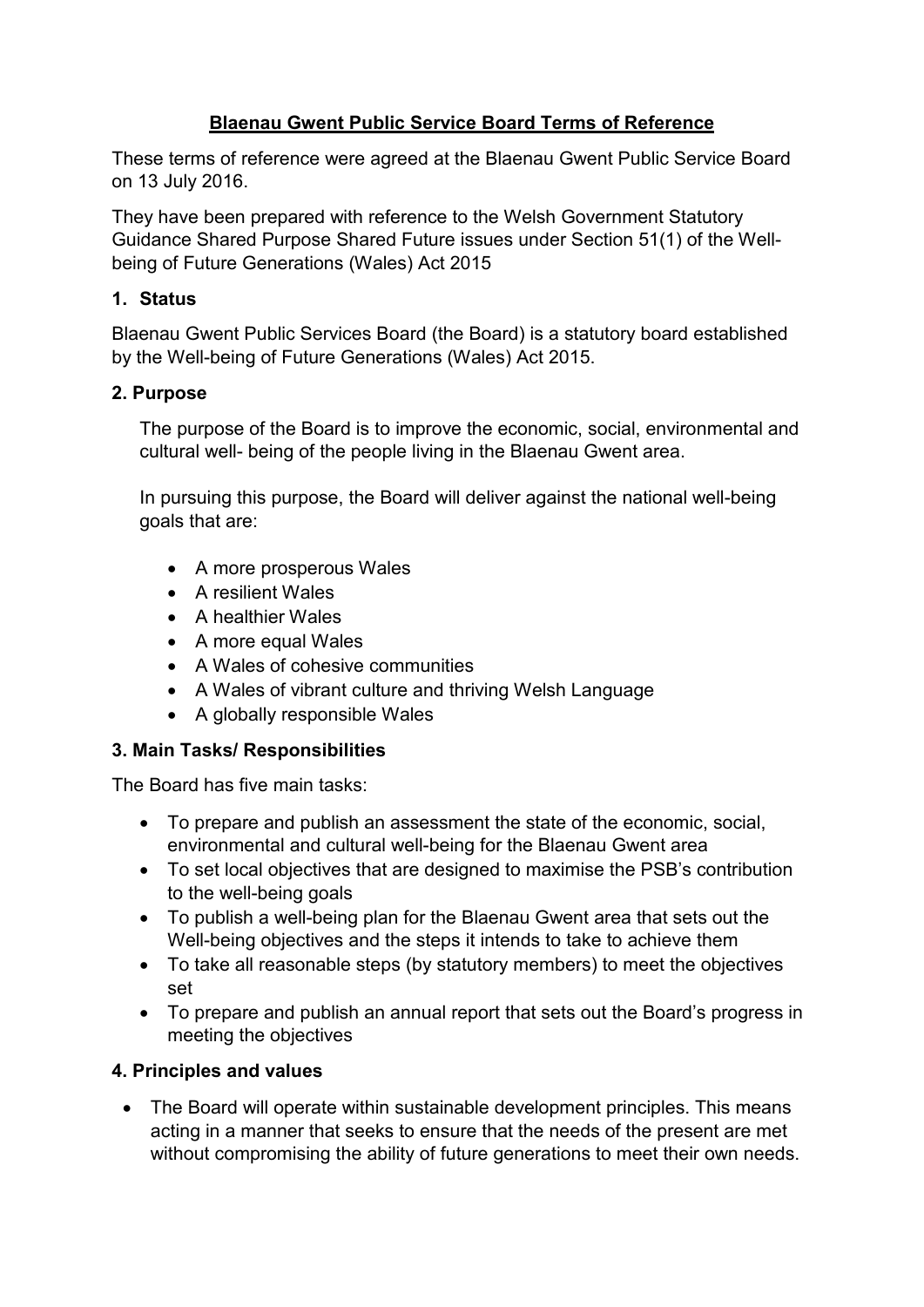## **Blaenau Gwent Public Service Board Terms of Reference**

These terms of reference were agreed at the Blaenau Gwent Public Service Board on 13 July 2016.

They have been prepared with reference to the Welsh Government Statutory Guidance Shared Purpose Shared Future issues under Section 51(1) of the Wellbeing of Future Generations (Wales) Act 2015

## **1. Status**

Blaenau Gwent Public Services Board (the Board) is a statutory board established by the Well-being of Future Generations (Wales) Act 2015.

## **2. Purpose**

The purpose of the Board is to improve the economic, social, environmental and cultural well- being of the people living in the Blaenau Gwent area.

In pursuing this purpose, the Board will deliver against the national well-being goals that are:

- A more prosperous Wales
- A resilient Wales
- A healthier Wales
- A more equal Wales
- A Wales of cohesive communities
- A Wales of vibrant culture and thriving Welsh Language
- A globally responsible Wales

#### **3. Main Tasks/ Responsibilities**

The Board has five main tasks:

- To prepare and publish an assessment the state of the economic, social, environmental and cultural well-being for the Blaenau Gwent area
- To set local objectives that are designed to maximise the PSB's contribution to the well-being goals
- To publish a well-being plan for the Blaenau Gwent area that sets out the Well-being objectives and the steps it intends to take to achieve them
- To take all reasonable steps (by statutory members) to meet the objectives set
- To prepare and publish an annual report that sets out the Board's progress in meeting the objectives

# **4. Principles and values**

• The Board will operate within sustainable development principles. This means acting in a manner that seeks to ensure that the needs of the present are met without compromising the ability of future generations to meet their own needs.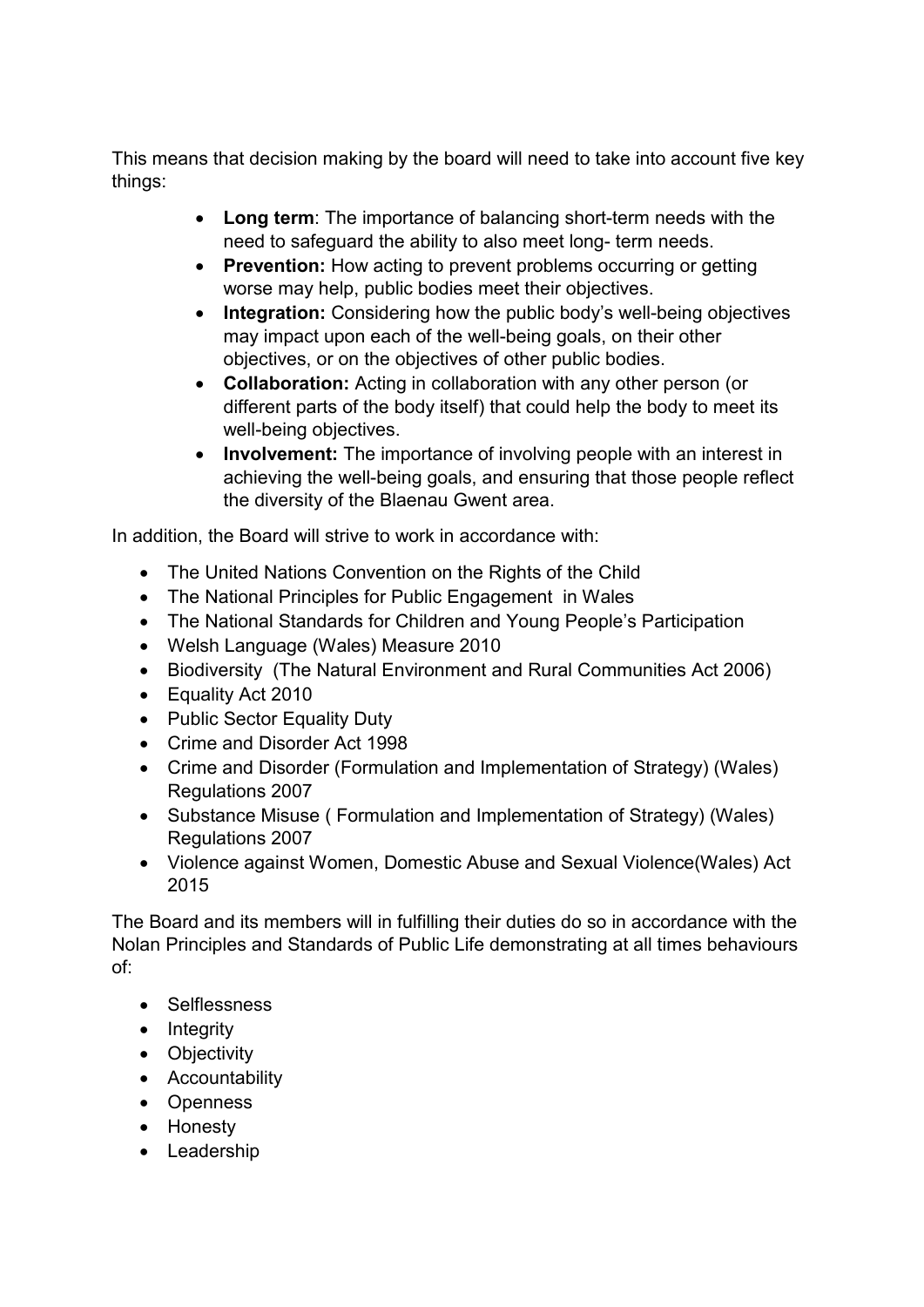This means that decision making by the board will need to take into account five key things:

- **Long term**: The importance of balancing short-term needs with the need to safeguard the ability to also meet long- term needs.
- **Prevention:** How acting to prevent problems occurring or getting worse may help, public bodies meet their objectives.
- **Integration:** Considering how the public body's well-being objectives may impact upon each of the well-being goals, on their other objectives, or on the objectives of other public bodies.
- **Collaboration:** Acting in collaboration with any other person (or different parts of the body itself) that could help the body to meet its well-being objectives.
- **Involvement:** The importance of involving people with an interest in achieving the well-being goals, and ensuring that those people reflect the diversity of the Blaenau Gwent area.

In addition, the Board will strive to work in accordance with:

- The United Nations Convention on the Rights of the Child
- The National Principles for Public Engagement in Wales
- The National Standards for Children and Young People's Participation
- Welsh Language (Wales) Measure 2010
- Biodiversity (The Natural Environment and Rural Communities Act 2006)
- Equality Act 2010
- Public Sector Equality Duty
- Crime and Disorder Act 1998
- Crime and Disorder (Formulation and Implementation of Strategy) (Wales) Regulations 2007
- Substance Misuse ( Formulation and Implementation of Strategy) (Wales) Regulations 2007
- Violence against Women, Domestic Abuse and Sexual Violence(Wales) Act 2015

The Board and its members will in fulfilling their duties do so in accordance with the Nolan Principles and Standards of Public Life demonstrating at all times behaviours of:

- Selflessness
- Integrity
- Objectivity
- Accountability
- Openness
- Honesty
- Leadership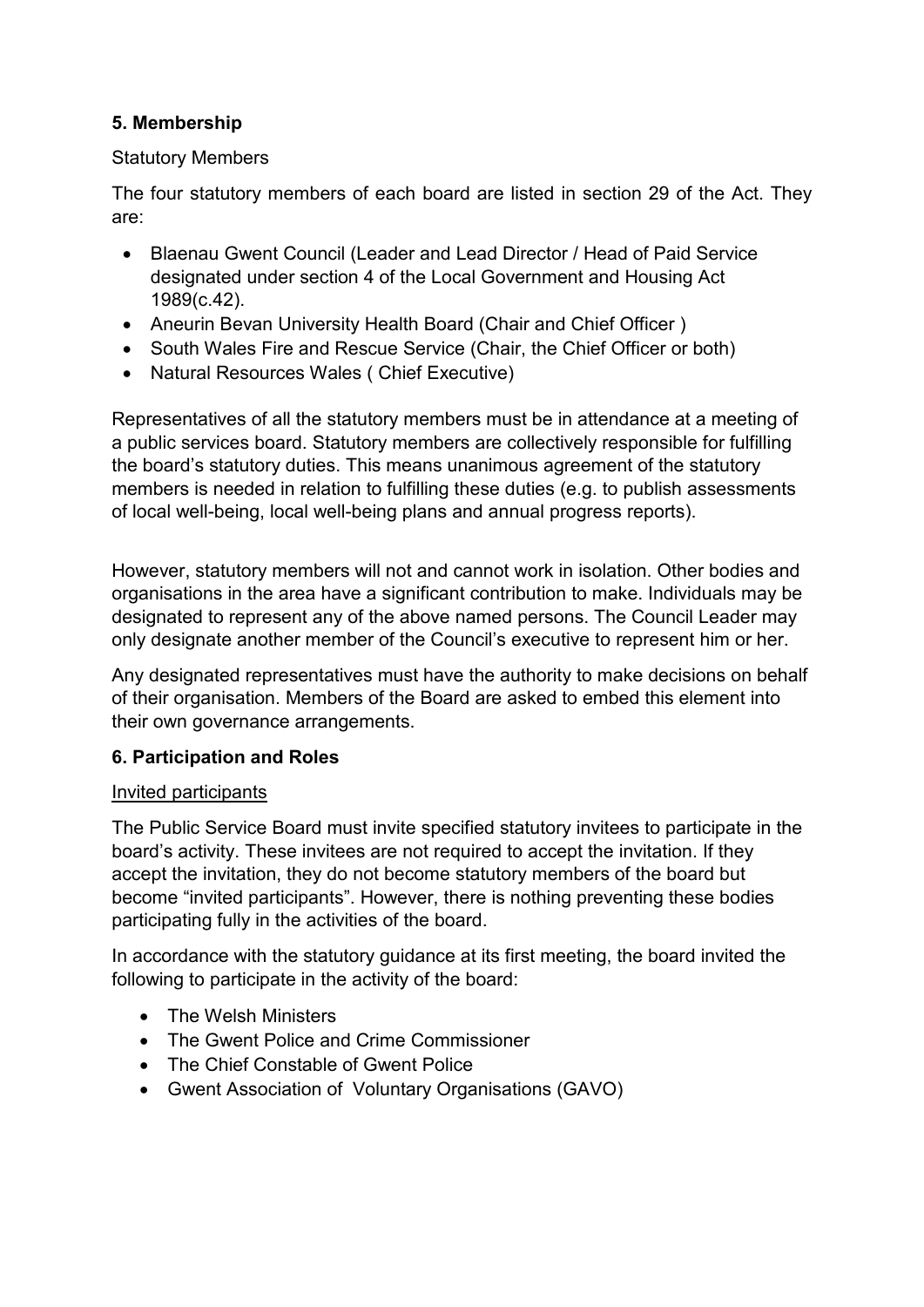## **5. Membership**

#### Statutory Members

The four statutory members of each board are listed in section 29 of the Act. They are:

- Blaenau Gwent Council (Leader and Lead Director / Head of Paid Service designated under section 4 of the Local Government and Housing Act 1989(c.42).
- Aneurin Bevan University Health Board (Chair and Chief Officer )
- South Wales Fire and Rescue Service (Chair, the Chief Officer or both)
- Natural Resources Wales ( Chief Executive)

Representatives of all the statutory members must be in attendance at a meeting of a public services board. Statutory members are collectively responsible for fulfilling the board's statutory duties. This means unanimous agreement of the statutory members is needed in relation to fulfilling these duties (e.g. to publish assessments of local well-being, local well-being plans and annual progress reports).

However, statutory members will not and cannot work in isolation. Other bodies and organisations in the area have a significant contribution to make. Individuals may be designated to represent any of the above named persons. The Council Leader may only designate another member of the Council's executive to represent him or her.

Any designated representatives must have the authority to make decisions on behalf of their organisation. Members of the Board are asked to embed this element into their own governance arrangements.

#### **6. Participation and Roles**

#### Invited participants

The Public Service Board must invite specified statutory invitees to participate in the board's activity. These invitees are not required to accept the invitation. If they accept the invitation, they do not become statutory members of the board but become "invited participants". However, there is nothing preventing these bodies participating fully in the activities of the board.

In accordance with the statutory guidance at its first meeting, the board invited the following to participate in the activity of the board:

- The Welsh Ministers
- The Gwent Police and Crime Commissioner
- The Chief Constable of Gwent Police
- Gwent Association of Voluntary Organisations (GAVO)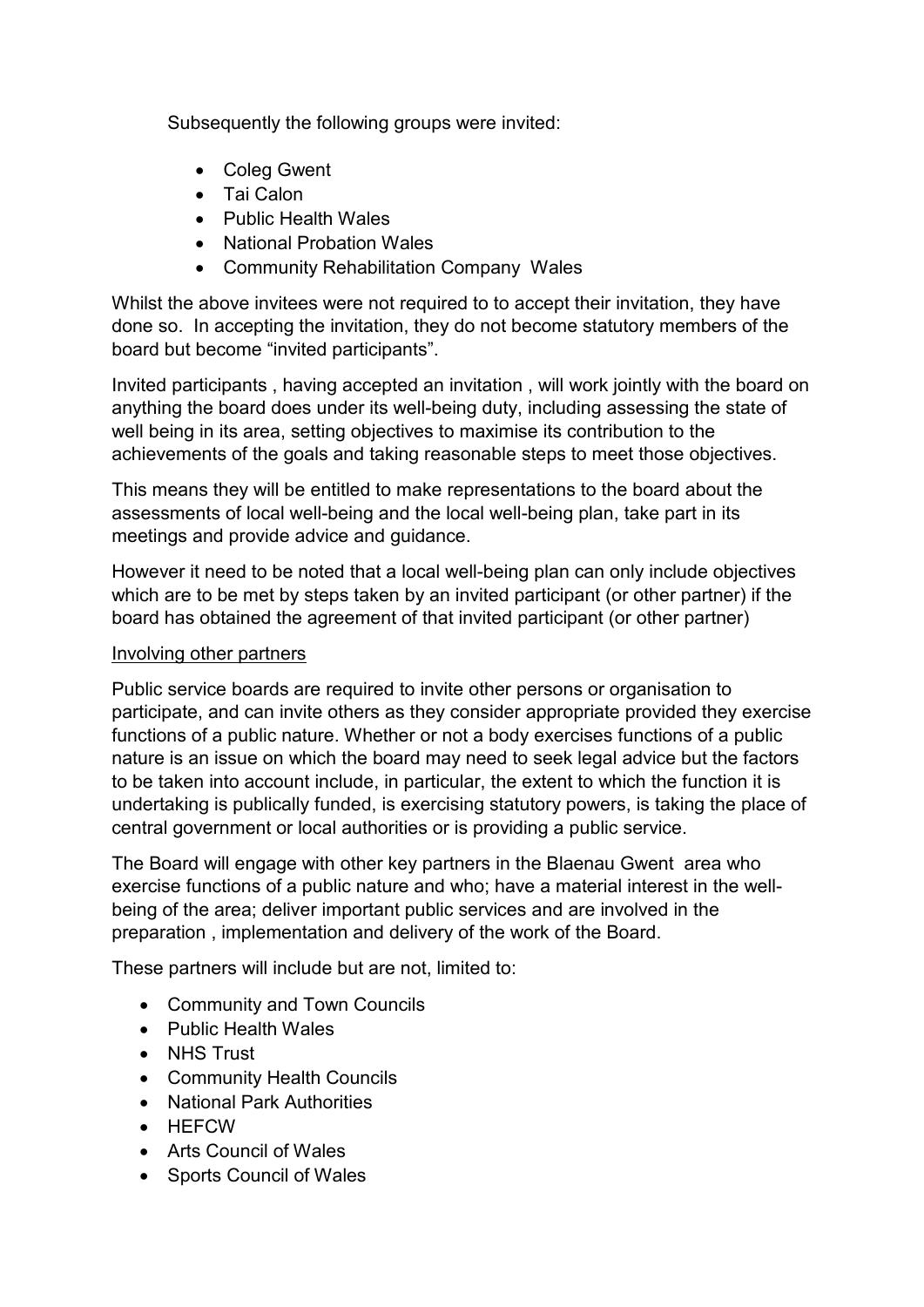Subsequently the following groups were invited:

- Coleg Gwent
- Tai Calon
- Public Health Wales
- National Probation Wales
- Community Rehabilitation Company Wales

Whilst the above invitees were not required to to accept their invitation, they have done so. In accepting the invitation, they do not become statutory members of the board but become "invited participants".

Invited participants , having accepted an invitation , will work jointly with the board on anything the board does under its well-being duty, including assessing the state of well being in its area, setting objectives to maximise its contribution to the achievements of the goals and taking reasonable steps to meet those objectives.

This means they will be entitled to make representations to the board about the assessments of local well-being and the local well-being plan, take part in its meetings and provide advice and guidance.

However it need to be noted that a local well-being plan can only include objectives which are to be met by steps taken by an invited participant (or other partner) if the board has obtained the agreement of that invited participant (or other partner)

#### Involving other partners

Public service boards are required to invite other persons or organisation to participate, and can invite others as they consider appropriate provided they exercise functions of a public nature. Whether or not a body exercises functions of a public nature is an issue on which the board may need to seek legal advice but the factors to be taken into account include, in particular, the extent to which the function it is undertaking is publically funded, is exercising statutory powers, is taking the place of central government or local authorities or is providing a public service.

The Board will engage with other key partners in the Blaenau Gwent area who exercise functions of a public nature and who; have a material interest in the wellbeing of the area; deliver important public services and are involved in the preparation , implementation and delivery of the work of the Board.

These partners will include but are not, limited to:

- Community and Town Councils
- Public Health Wales
- NHS Trust
- Community Health Councils
- National Park Authorities
- HEFCW
- Arts Council of Wales
- Sports Council of Wales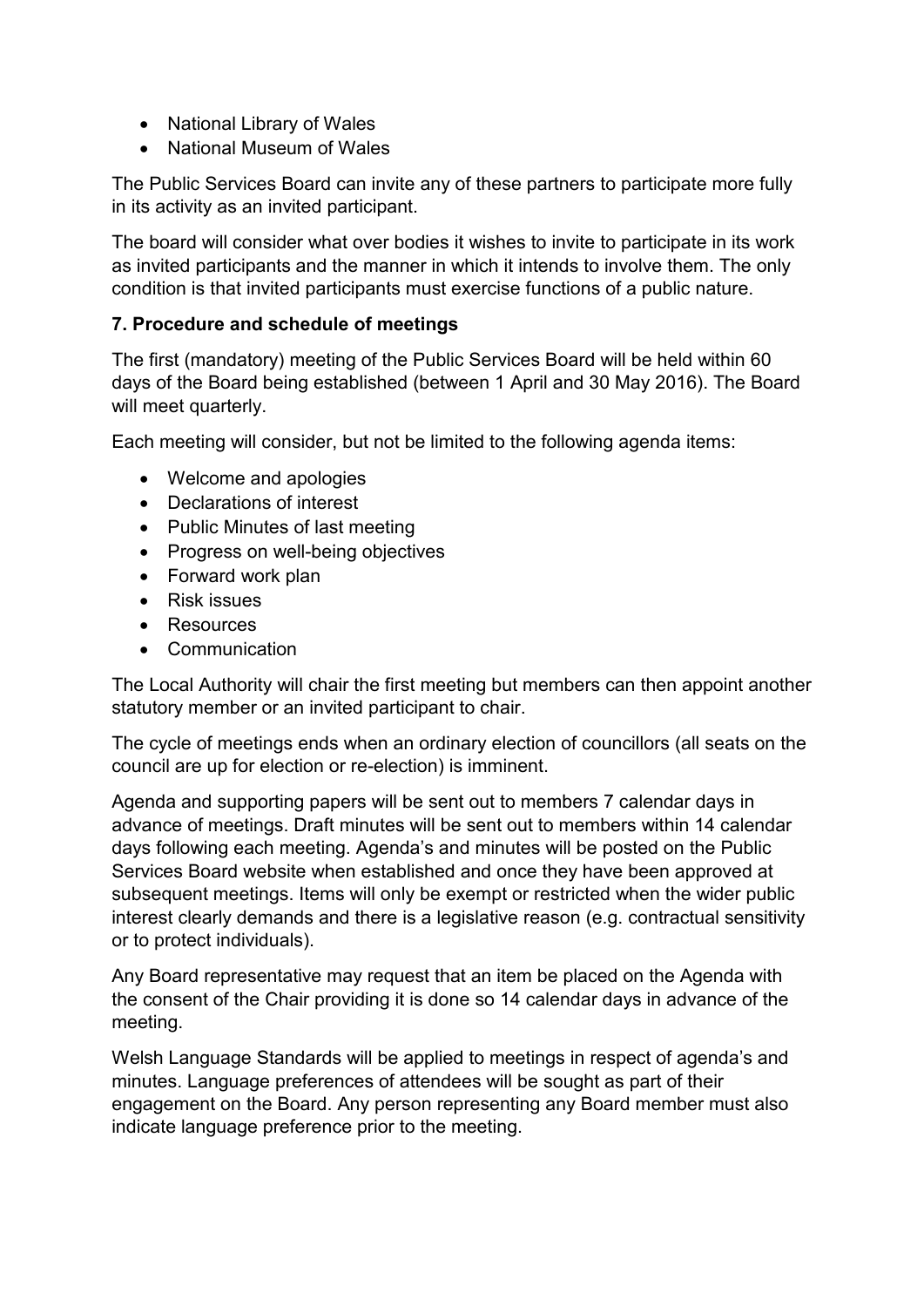- National Library of Wales
- National Museum of Wales

The Public Services Board can invite any of these partners to participate more fully in its activity as an invited participant.

The board will consider what over bodies it wishes to invite to participate in its work as invited participants and the manner in which it intends to involve them. The only condition is that invited participants must exercise functions of a public nature.

## **7. Procedure and schedule of meetings**

The first (mandatory) meeting of the Public Services Board will be held within 60 days of the Board being established (between 1 April and 30 May 2016). The Board will meet quarterly.

Each meeting will consider, but not be limited to the following agenda items:

- Welcome and apologies
- Declarations of interest
- Public Minutes of last meeting
- Progress on well-being objectives
- Forward work plan
- Risk issues
- Resources
- Communication

The Local Authority will chair the first meeting but members can then appoint another statutory member or an invited participant to chair.

The cycle of meetings ends when an ordinary election of councillors (all seats on the council are up for election or re-election) is imminent.

Agenda and supporting papers will be sent out to members 7 calendar days in advance of meetings. Draft minutes will be sent out to members within 14 calendar days following each meeting. Agenda's and minutes will be posted on the Public Services Board website when established and once they have been approved at subsequent meetings. Items will only be exempt or restricted when the wider public interest clearly demands and there is a legislative reason (e.g. contractual sensitivity or to protect individuals).

Any Board representative may request that an item be placed on the Agenda with the consent of the Chair providing it is done so 14 calendar days in advance of the meeting.

Welsh Language Standards will be applied to meetings in respect of agenda's and minutes. Language preferences of attendees will be sought as part of their engagement on the Board. Any person representing any Board member must also indicate language preference prior to the meeting.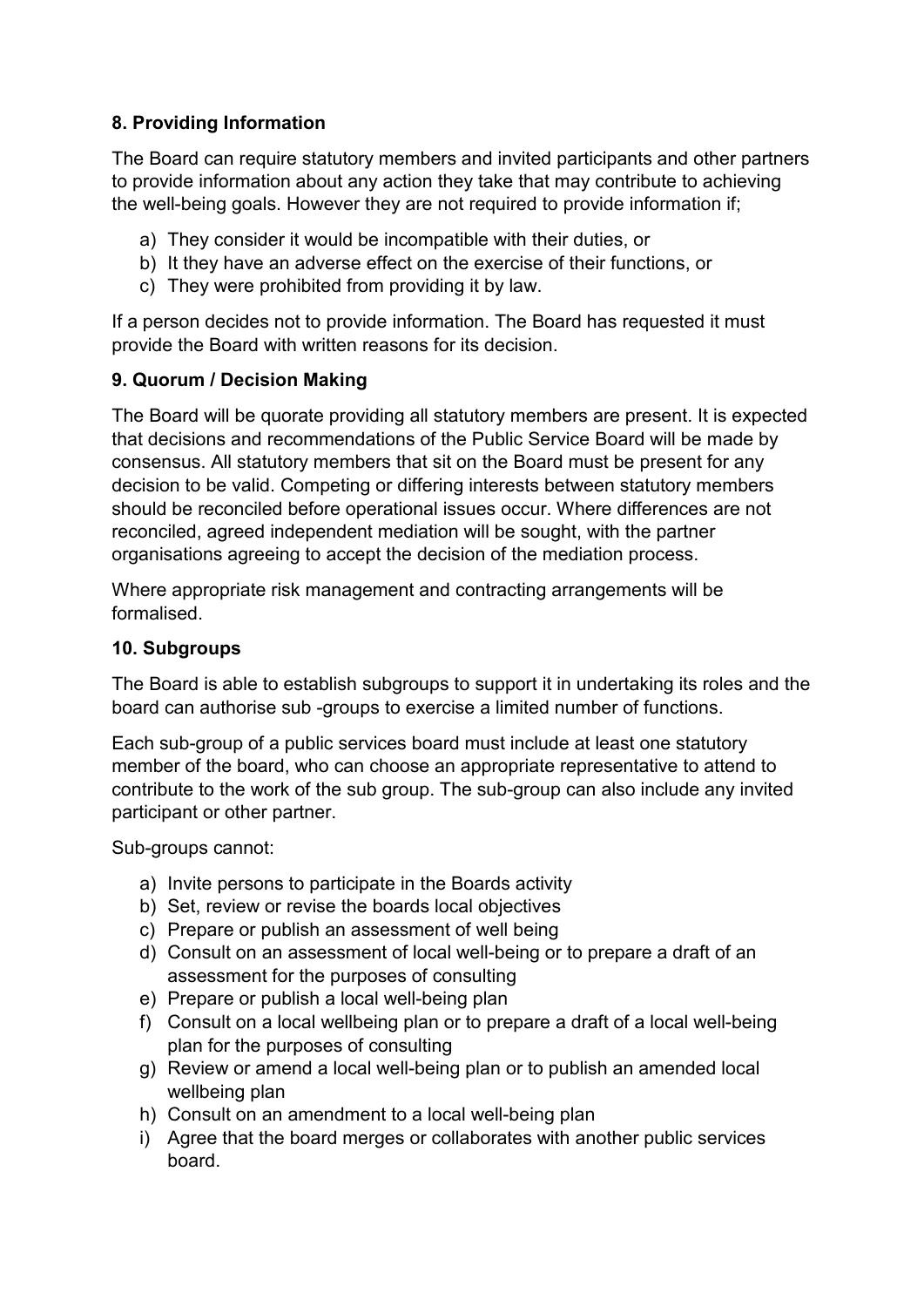## **8. Providing Information**

The Board can require statutory members and invited participants and other partners to provide information about any action they take that may contribute to achieving the well-being goals. However they are not required to provide information if;

- a) They consider it would be incompatible with their duties, or
- b) It they have an adverse effect on the exercise of their functions, or
- c) They were prohibited from providing it by law.

If a person decides not to provide information. The Board has requested it must provide the Board with written reasons for its decision.

## **9. Quorum / Decision Making**

The Board will be quorate providing all statutory members are present. It is expected that decisions and recommendations of the Public Service Board will be made by consensus. All statutory members that sit on the Board must be present for any decision to be valid. Competing or differing interests between statutory members should be reconciled before operational issues occur. Where differences are not reconciled, agreed independent mediation will be sought, with the partner organisations agreeing to accept the decision of the mediation process.

Where appropriate risk management and contracting arrangements will be formalised.

#### **10. Subgroups**

The Board is able to establish subgroups to support it in undertaking its roles and the board can authorise sub -groups to exercise a limited number of functions.

Each sub-group of a public services board must include at least one statutory member of the board, who can choose an appropriate representative to attend to contribute to the work of the sub group. The sub-group can also include any invited participant or other partner.

Sub-groups cannot:

- a) Invite persons to participate in the Boards activity
- b) Set, review or revise the boards local objectives
- c) Prepare or publish an assessment of well being
- d) Consult on an assessment of local well-being or to prepare a draft of an assessment for the purposes of consulting
- e) Prepare or publish a local well-being plan
- f) Consult on a local wellbeing plan or to prepare a draft of a local well-being plan for the purposes of consulting
- g) Review or amend a local well-being plan or to publish an amended local wellbeing plan
- h) Consult on an amendment to a local well-being plan
- i) Agree that the board merges or collaborates with another public services board.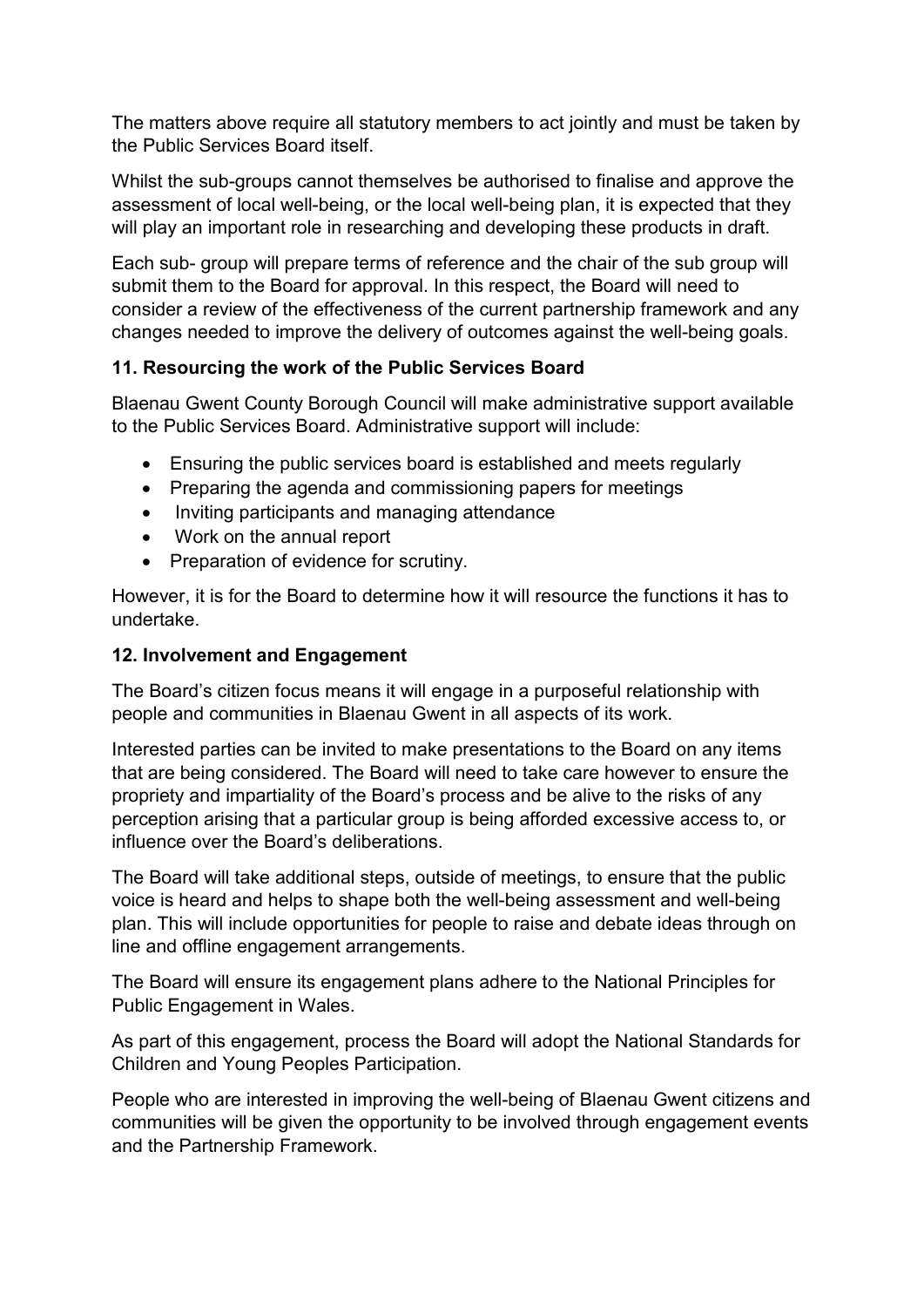The matters above require all statutory members to act jointly and must be taken by the Public Services Board itself.

Whilst the sub-groups cannot themselves be authorised to finalise and approve the assessment of local well-being, or the local well-being plan, it is expected that they will play an important role in researching and developing these products in draft.

Each sub- group will prepare terms of reference and the chair of the sub group will submit them to the Board for approval. In this respect, the Board will need to consider a review of the effectiveness of the current partnership framework and any changes needed to improve the delivery of outcomes against the well-being goals.

## **11. Resourcing the work of the Public Services Board**

Blaenau Gwent County Borough Council will make administrative support available to the Public Services Board. Administrative support will include:

- Ensuring the public services board is established and meets regularly
- Preparing the agenda and commissioning papers for meetings
- Inviting participants and managing attendance
- Work on the annual report
- Preparation of evidence for scrutiny.

However, it is for the Board to determine how it will resource the functions it has to undertake.

#### **12. Involvement and Engagement**

The Board's citizen focus means it will engage in a purposeful relationship with people and communities in Blaenau Gwent in all aspects of its work.

Interested parties can be invited to make presentations to the Board on any items that are being considered. The Board will need to take care however to ensure the propriety and impartiality of the Board's process and be alive to the risks of any perception arising that a particular group is being afforded excessive access to, or influence over the Board's deliberations.

The Board will take additional steps, outside of meetings, to ensure that the public voice is heard and helps to shape both the well-being assessment and well-being plan. This will include opportunities for people to raise and debate ideas through on line and offline engagement arrangements.

The Board will ensure its engagement plans adhere to the National Principles for Public Engagement in Wales.

As part of this engagement, process the Board will adopt the National Standards for Children and Young Peoples Participation.

People who are interested in improving the well-being of Blaenau Gwent citizens and communities will be given the opportunity to be involved through engagement events and the Partnership Framework.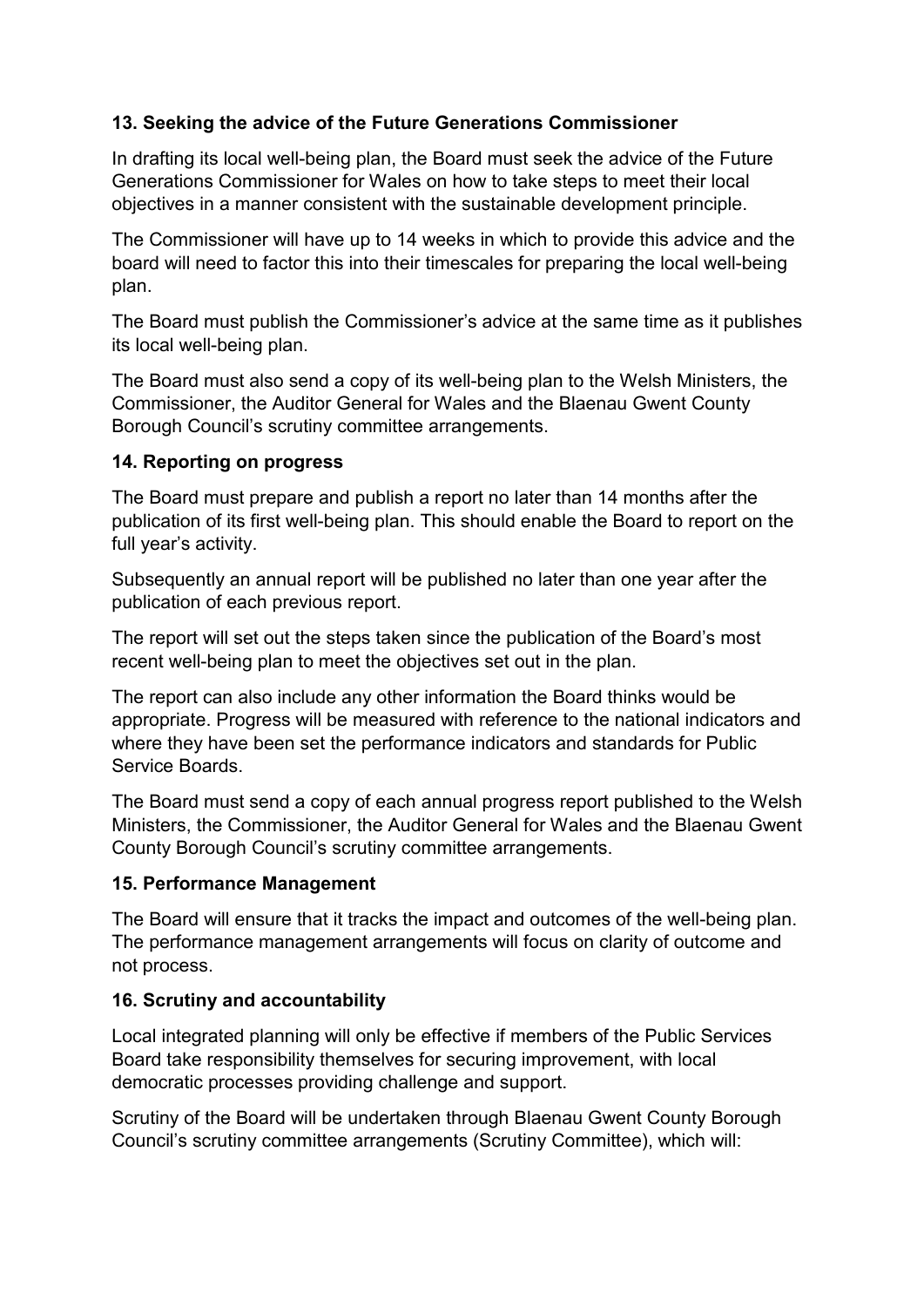## **13. Seeking the advice of the Future Generations Commissioner**

In drafting its local well-being plan, the Board must seek the advice of the Future Generations Commissioner for Wales on how to take steps to meet their local objectives in a manner consistent with the sustainable development principle.

The Commissioner will have up to 14 weeks in which to provide this advice and the board will need to factor this into their timescales for preparing the local well-being plan.

The Board must publish the Commissioner's advice at the same time as it publishes its local well-being plan.

The Board must also send a copy of its well-being plan to the Welsh Ministers, the Commissioner, the Auditor General for Wales and the Blaenau Gwent County Borough Council's scrutiny committee arrangements.

#### **14. Reporting on progress**

The Board must prepare and publish a report no later than 14 months after the publication of its first well-being plan. This should enable the Board to report on the full year's activity.

Subsequently an annual report will be published no later than one year after the publication of each previous report.

The report will set out the steps taken since the publication of the Board's most recent well-being plan to meet the objectives set out in the plan.

The report can also include any other information the Board thinks would be appropriate. Progress will be measured with reference to the national indicators and where they have been set the performance indicators and standards for Public Service Boards.

The Board must send a copy of each annual progress report published to the Welsh Ministers, the Commissioner, the Auditor General for Wales and the Blaenau Gwent County Borough Council's scrutiny committee arrangements.

#### **15. Performance Management**

The Board will ensure that it tracks the impact and outcomes of the well-being plan. The performance management arrangements will focus on clarity of outcome and not process.

#### **16. Scrutiny and accountability**

Local integrated planning will only be effective if members of the Public Services Board take responsibility themselves for securing improvement, with local democratic processes providing challenge and support.

Scrutiny of the Board will be undertaken through Blaenau Gwent County Borough Council's scrutiny committee arrangements (Scrutiny Committee), which will: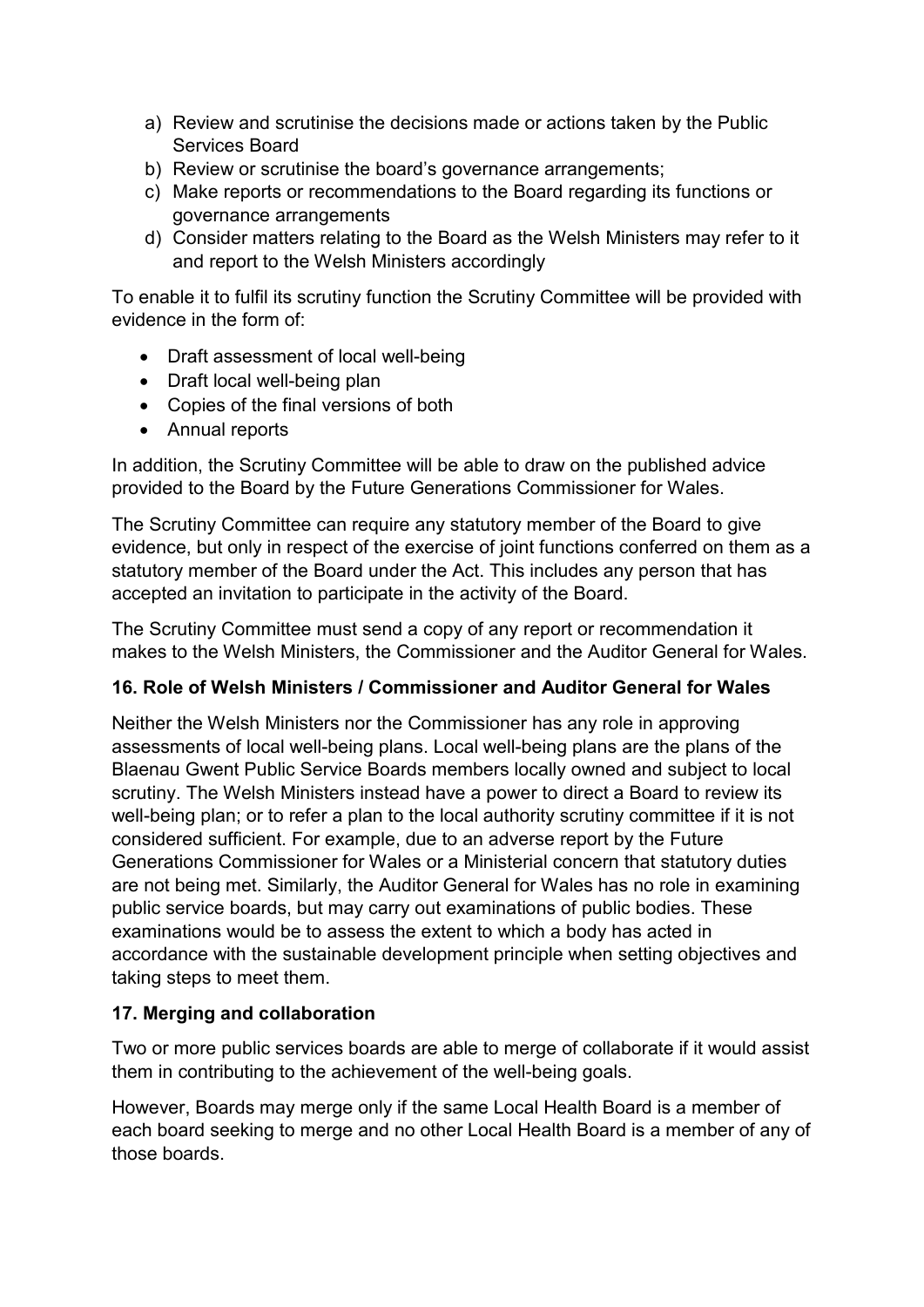- a) Review and scrutinise the decisions made or actions taken by the Public Services Board
- b) Review or scrutinise the board's governance arrangements;
- c) Make reports or recommendations to the Board regarding its functions or governance arrangements
- d) Consider matters relating to the Board as the Welsh Ministers may refer to it and report to the Welsh Ministers accordingly

To enable it to fulfil its scrutiny function the Scrutiny Committee will be provided with evidence in the form of:

- Draft assessment of local well-being
- Draft local well-being plan
- Copies of the final versions of both
- Annual reports

In addition, the Scrutiny Committee will be able to draw on the published advice provided to the Board by the Future Generations Commissioner for Wales.

The Scrutiny Committee can require any statutory member of the Board to give evidence, but only in respect of the exercise of joint functions conferred on them as a statutory member of the Board under the Act. This includes any person that has accepted an invitation to participate in the activity of the Board.

The Scrutiny Committee must send a copy of any report or recommendation it makes to the Welsh Ministers, the Commissioner and the Auditor General for Wales.

# **16. Role of Welsh Ministers / Commissioner and Auditor General for Wales**

Neither the Welsh Ministers nor the Commissioner has any role in approving assessments of local well-being plans. Local well-being plans are the plans of the Blaenau Gwent Public Service Boards members locally owned and subject to local scrutiny. The Welsh Ministers instead have a power to direct a Board to review its well-being plan; or to refer a plan to the local authority scrutiny committee if it is not considered sufficient. For example, due to an adverse report by the Future Generations Commissioner for Wales or a Ministerial concern that statutory duties are not being met. Similarly, the Auditor General for Wales has no role in examining public service boards, but may carry out examinations of public bodies. These examinations would be to assess the extent to which a body has acted in accordance with the sustainable development principle when setting objectives and taking steps to meet them.

#### **17. Merging and collaboration**

Two or more public services boards are able to merge of collaborate if it would assist them in contributing to the achievement of the well-being goals.

However, Boards may merge only if the same Local Health Board is a member of each board seeking to merge and no other Local Health Board is a member of any of those boards.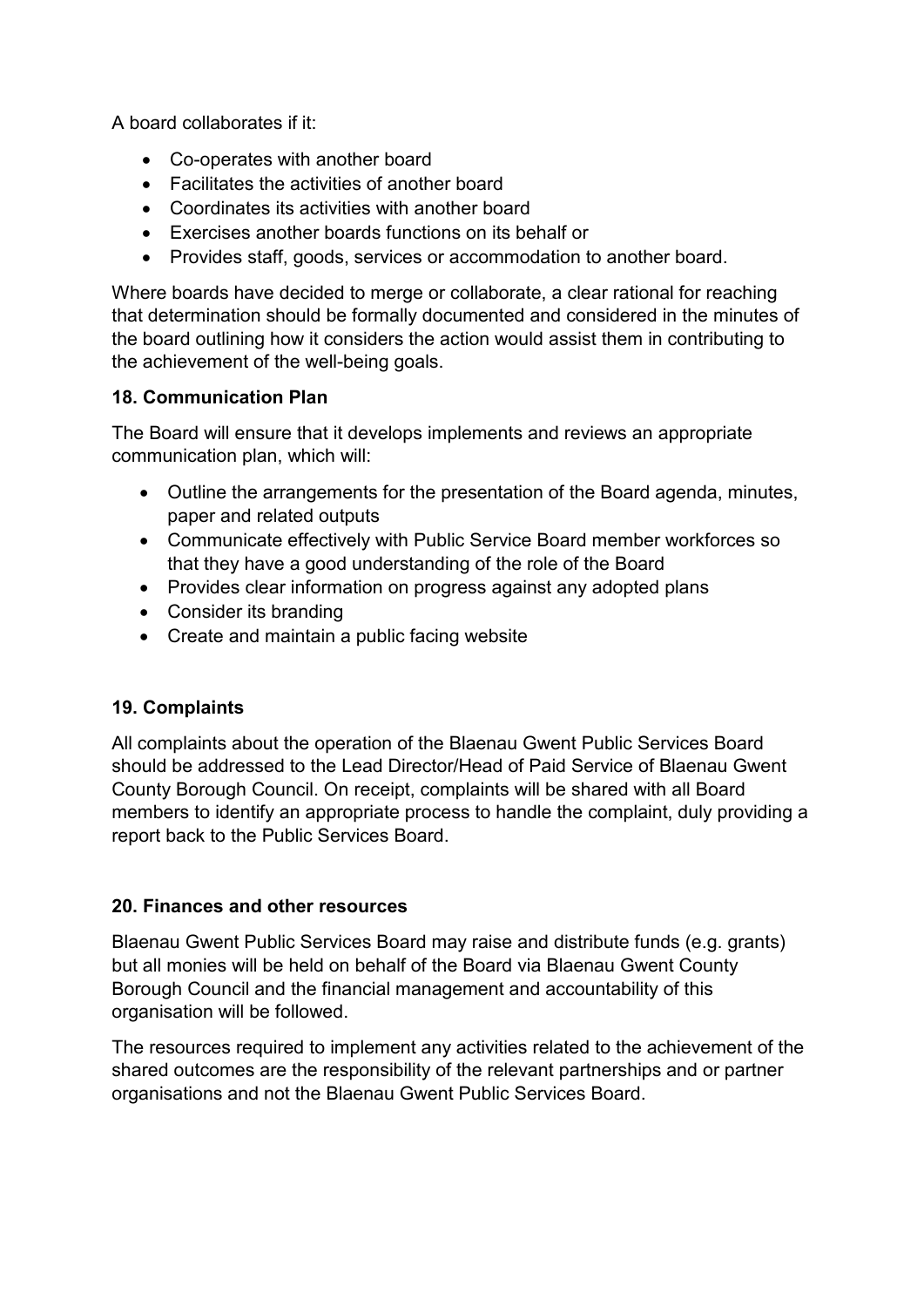A board collaborates if it:

- Co-operates with another board
- Facilitates the activities of another board
- Coordinates its activities with another board
- Exercises another boards functions on its behalf or
- Provides staff, goods, services or accommodation to another board.

Where boards have decided to merge or collaborate, a clear rational for reaching that determination should be formally documented and considered in the minutes of the board outlining how it considers the action would assist them in contributing to the achievement of the well-being goals.

#### **18. Communication Plan**

The Board will ensure that it develops implements and reviews an appropriate communication plan, which will:

- Outline the arrangements for the presentation of the Board agenda, minutes, paper and related outputs
- Communicate effectively with Public Service Board member workforces so that they have a good understanding of the role of the Board
- Provides clear information on progress against any adopted plans
- Consider its branding
- Create and maintain a public facing website

#### **19. Complaints**

All complaints about the operation of the Blaenau Gwent Public Services Board should be addressed to the Lead Director/Head of Paid Service of Blaenau Gwent County Borough Council. On receipt, complaints will be shared with all Board members to identify an appropriate process to handle the complaint, duly providing a report back to the Public Services Board.

#### **20. Finances and other resources**

Blaenau Gwent Public Services Board may raise and distribute funds (e.g. grants) but all monies will be held on behalf of the Board via Blaenau Gwent County Borough Council and the financial management and accountability of this organisation will be followed.

The resources required to implement any activities related to the achievement of the shared outcomes are the responsibility of the relevant partnerships and or partner organisations and not the Blaenau Gwent Public Services Board.